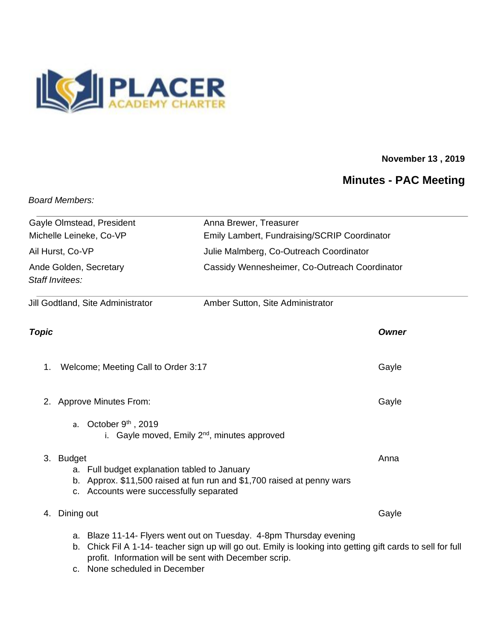

## **November 13 , 2019**

# **Minutes - PAC Meeting**

*Board Members:* 

| Gayle Olmstead, President                                                                                                                                                                                                                     | Anna Brewer, Treasurer                                                         |
|-----------------------------------------------------------------------------------------------------------------------------------------------------------------------------------------------------------------------------------------------|--------------------------------------------------------------------------------|
| Michelle Leineke, Co-VP                                                                                                                                                                                                                       | Emily Lambert, Fundraising/SCRIP Coordinator                                   |
| Ail Hurst, Co-VP                                                                                                                                                                                                                              | Julie Malmberg, Co-Outreach Coordinator                                        |
| Ande Golden, Secretary<br>Staff Invitees:                                                                                                                                                                                                     | Cassidy Wennesheimer, Co-Outreach Coordinator                                  |
| Jill Godtland, Site Administrator                                                                                                                                                                                                             | Amber Sutton, Site Administrator                                               |
| <b>Topic</b>                                                                                                                                                                                                                                  | <b>Owner</b>                                                                   |
| 1.<br>Welcome; Meeting Call to Order 3:17                                                                                                                                                                                                     | Gayle                                                                          |
| <b>Approve Minutes From:</b><br>2.                                                                                                                                                                                                            | Gayle                                                                          |
| a. October $9th$ , 2019<br>i. Gayle moved, Emily 2 <sup>nd</sup> , minutes approved                                                                                                                                                           |                                                                                |
| 3. Budget<br>a. Full budget explanation tabled to January<br>c. Accounts were successfully separated                                                                                                                                          | Anna<br>b. Approx. \$11,500 raised at fun run and \$1,700 raised at penny wars |
| Dining out<br>4.                                                                                                                                                                                                                              | Gayle                                                                          |
| a. Blaze 11-14- Flyers went out on Tuesday. 4-8pm Thursday evening<br>Chick Fil A 1-14- teacher sign up will go out. Emily is looking into getting gift cards to sell for full<br>b.<br>profit. Information will be sent with December scrip. |                                                                                |

c. None scheduled in December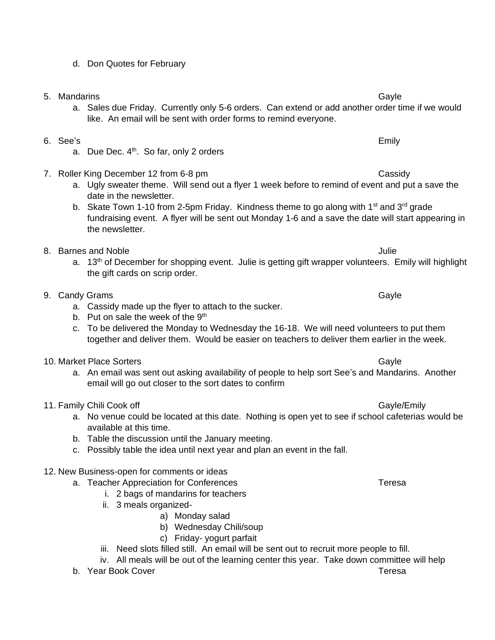d. Don Quotes for February

a. Due Dec.  $4<sup>th</sup>$ . So far, only 2 orders

- 5. Mandarins Gayle
	- a. Sales due Friday. Currently only 5-6 orders. Can extend or add another order time if we would like. An email will be sent with order forms to remind everyone.
- 7. Roller King December 12 from 6-8 pm Cassidy Cassidy a. Ugly sweater theme. Will send out a flyer 1 week before to remind of event and put a save the
	- date in the newsletter. b. Skate Town 1-10 from 2-5pm Friday. Kindness theme to go along with 1<sup>st</sup> and 3<sup>rd</sup> grade fundraising event. A flyer will be sent out Monday 1-6 and a save the date will start appearing in the newsletter.
- 8. Barnes and Noble Julie Julie 1. September 2014 1. September 2014 1. September 2014 1. September 2014 1. September 2014 1. September 2014 1. September 2014 1. September 2014 1. September 2014 1. September 2014 1. Septemb
	- a. 13<sup>th</sup> of December for shopping event. Julie is getting gift wrapper volunteers. Emily will highlight the gift cards on scrip order.
- 9. Candy Grams Gayle Candy Grams Gayle Candy Gayle Candy Gayle Candy Candy Gayle Candy Gayle
	- a. Cassidy made up the flyer to attach to the sucker.
	- b. Put on sale the week of the  $9<sup>th</sup>$
	- c. To be delivered the Monday to Wednesday the 16-18. We will need volunteers to put them together and deliver them. Would be easier on teachers to deliver them earlier in the week.
- 10. Market Place Sorters Gayle Communication of the Cayle Cayle Cayle Cayle
	- a. An email was sent out asking availability of people to help sort See's and Mandarins. Another email will go out closer to the sort dates to confirm
- 11. Family Chili Cook off Gayle Chili Cook of Gayle Chili Cook of Gayle Chili Cook of Gayle Chili Cook of Gayle
	- a. No venue could be located at this date. Nothing is open yet to see if school cafeterias would be available at this time.
	- b. Table the discussion until the January meeting.
	- c. Possibly table the idea until next year and plan an event in the fall.
- 12. New Business-open for comments or ideas
	- a. Teacher Appreciation for Conferences Teresa
		- i. 2 bags of mandarins for teachers
		- ii. 3 meals organized
			- a) Monday salad
			- b) Wednesday Chili/soup
			- c) Friday- yogurt parfait
		- iii. Need slots filled still. An email will be sent out to recruit more people to fill.
		- iv. All meals will be out of the learning center this year. Take down committee will help
	- b. Year Book Cover Teresa

6. See's Emily